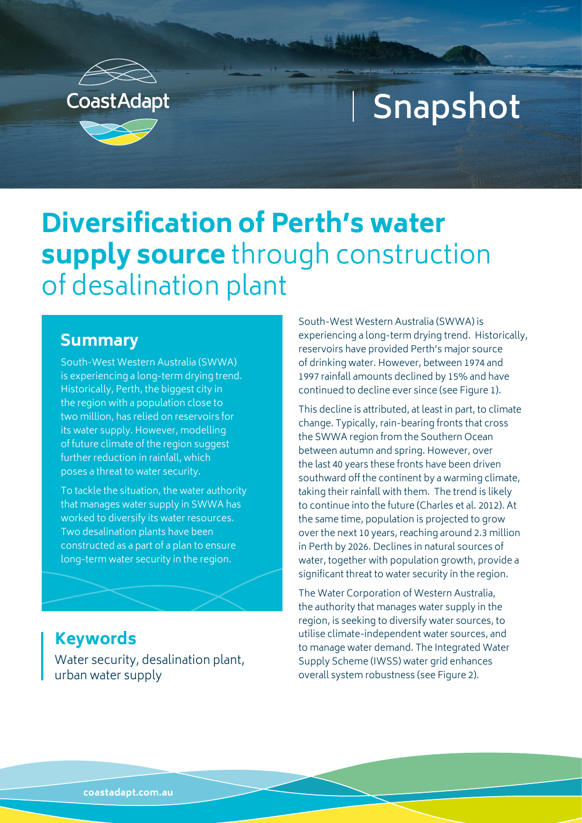

# **Snapshot**

## **Diversification of Perth's water supply source** through construction of desalination plant

#### **Summary**

South-West Western Australia (SWWA) is experiencing a long-term drying trend. Historically, Perth, the biggest city in the region with a population close to two million, has relied on reservoirs for its water supply. However, modelling of future climate of the region suggest further reduction in rainfall, which poses a threat to water security.

To tackle the situation, the water authority that manages water supply in SWWA has worked to diversify its water resources. Two desalination plants have been constructed as a part of a plan to ensure long-term water security in the region.

Water security, desalination plant, urban water supply **Keywords**

South-West Western Australia (SWWA) is experiencing a long-term drying trend. Historically, reservoirs have provided Perth's major source of drinking water. However, between 1974 and 1997 rainfall amounts declined by 15% and have continued to decline ever since (see Figure 1).

This decline is attributed, at least in part, to climate change. Typically, rain-bearing fronts that cross the SWWA region from the Southern Ocean between autumn and spring. However, over the last 40 years these fronts have been driven southward off the continent by a warming climate, taking their rainfall with them. The trend is likely to continue into the future (Charles et al. 2012). At the same time, population is projected to grow over the next 10 years, reaching around 2.3 million in Perth by 2026. Declines in natural sources of water, together with population growth, provide a significant threat to water security in the region.

The Water Corporation of Western Australia, the authority that manages water supply in the region, is seeking to diversify water sources, to utilise climate-independent water sources, and to manage water demand. The Integrated Water Supply Scheme (IWSS) water grid enhances overall system robustness (see Figure 2).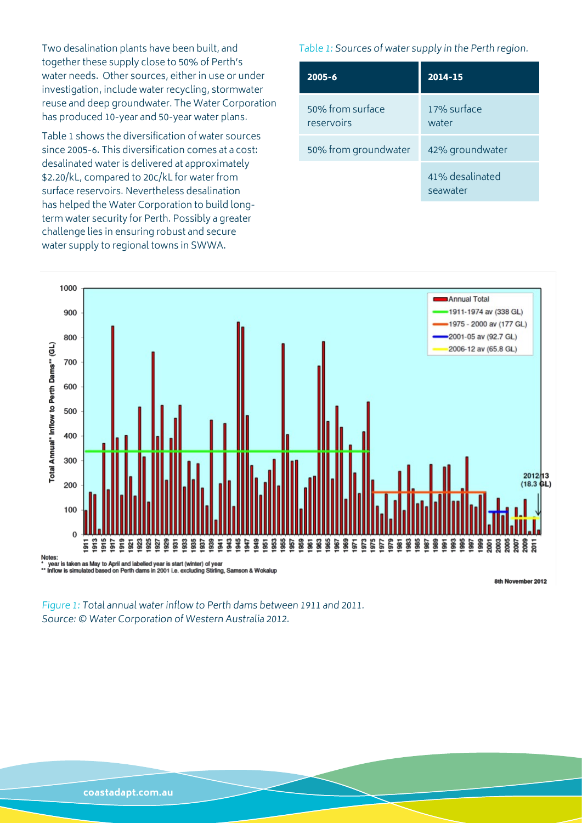Two desalination plants have been built, and together these supply close to 50% of Perth's water needs. Other sources, either in use or under investigation, include water recycling, stormwater reuse and deep groundwater. The Water Corporation has produced 10-year and 50-year water plans.

Table 1 shows the diversification of water sources since 2005-6. This diversification comes at a cost: desalinated water is delivered at approximately \$2.20/kL, compared to 20c/kL for water from surface reservoirs. Nevertheless desalination has helped the Water Corporation to build longterm water security for Perth. Possibly a greater challenge lies in ensuring robust and secure water supply to regional towns in SWWA.

Table 1: Sources of water supply in the Perth region.

| $2005 - 6$                     | $2014 - 15$                 |
|--------------------------------|-----------------------------|
| 50% from surface<br>reservoirs | 17% surface<br>water        |
| 50% from groundwater           | 42% groundwater             |
|                                | 41% desalinated<br>seawater |



8th November 2012

Figure 1: Total annual water inflow to Perth dams between 1911 and 2011. Source: © Water Corporation of Western Australia 2012.